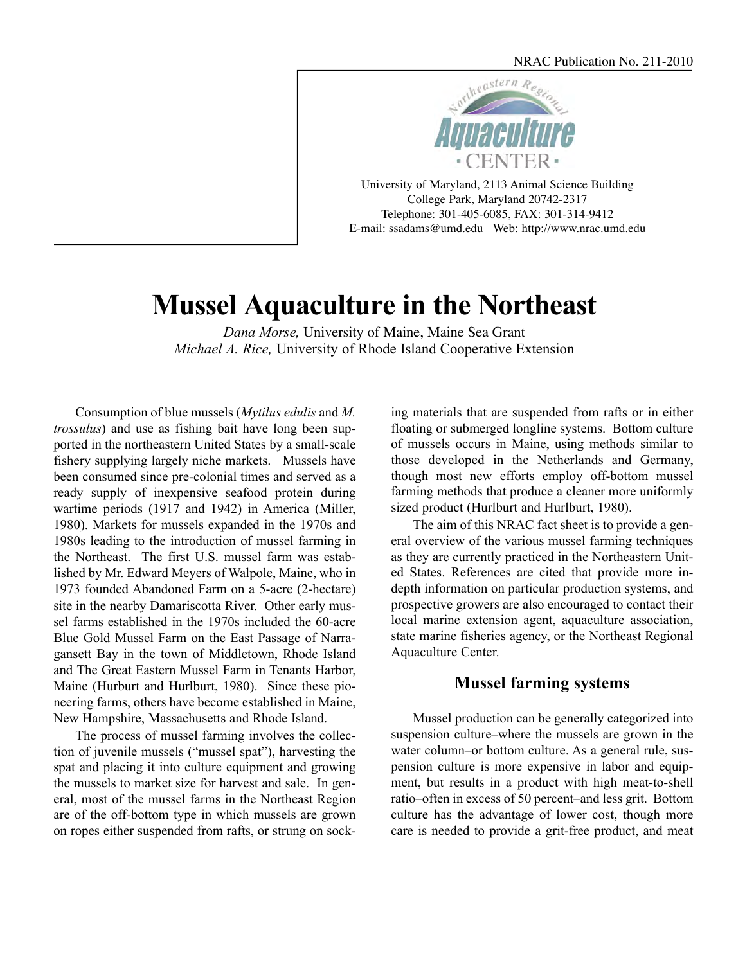

University of Maryland, 2113 Animal Science Building College Park, Maryland 20742-2317 Telephone: 301-405-6085, FAX: 301-314-9412 E-mail: [ssadams@umd.edu W](mailto:ssadams@umd.edu)eb: <http://www.nrac.umd.edu>

# **Mussel Aquaculture in the Northeast**

*Dana Morse,* University of Maine, Maine Sea Grant *Michael A. Rice,* University of Rhode Island Cooperative Extension

Consumption of blue mussels (*Mytilus edulis* and *M. trossulus*) and use as fishing bait have long been supported in the northeastern United States by a small-scale fishery supplying largely niche markets. Mussels have been consumed since pre-colonial times and served as a ready supply of inexpensive seafood protein during wartime periods (1917 and 1942) in America (Miller, 1980). Markets for mussels expanded in the 1970s and 1980s leading to the introduction of mussel farming in the Northeast. The first U.S. mussel farm was established by Mr. Edward Meyers of Walpole, Maine, who in 1973 founded Abandoned Farm on a 5-acre (2-hectare) site in the nearby Damariscotta River. Other early mussel farms established in the 1970s included the 60-acre Blue Gold Mussel Farm on the East Passage of Narragansett Bay in the town of Middletown, Rhode Island and The Great Eastern Mussel Farm in Tenants Harbor, Maine (Hurburt and Hurlburt, 1980). Since these pioneering farms, others have become established in Maine, New Hampshire, Massachusetts and Rhode Island.

The process of mussel farming involves the collection of juvenile mussels ("mussel spat"), harvesting the spat and placing it into culture equipment and growing the mussels to market size for harvest and sale. In general, most of the mussel farms in the Northeast Region are of the off-bottom type in which mussels are grown on ropes either suspended from rafts, or strung on sock-

ing materials that are suspended from rafts or in either floating or submerged longline systems. Bottom culture of mussels occurs in Maine, using methods similar to those developed in the Netherlands and Germany, though most new efforts employ off-bottom mussel farming methods that produce a cleaner more uniformly sized product (Hurlburt and Hurlburt, 1980).

The aim of this NRAC fact sheet is to provide a general overview of the various mussel farming techniques as they are currently practiced in the Northeastern United States. References are cited that provide more indepth information on particular production systems, and prospective growers are also encouraged to contact their local marine extension agent, aquaculture association, state marine fisheries agency, or the Northeast Regional Aquaculture Center.

## **Mussel farming systems**

Mussel production can be generally categorized into suspension culture–where the mussels are grown in the water column–or bottom culture. As a general rule, suspension culture is more expensive in labor and equipment, but results in a product with high meat-to-shell ratio–often in excess of 50 percent–and less grit. Bottom culture has the advantage of lower cost, though more care is needed to provide a grit-free product, and meat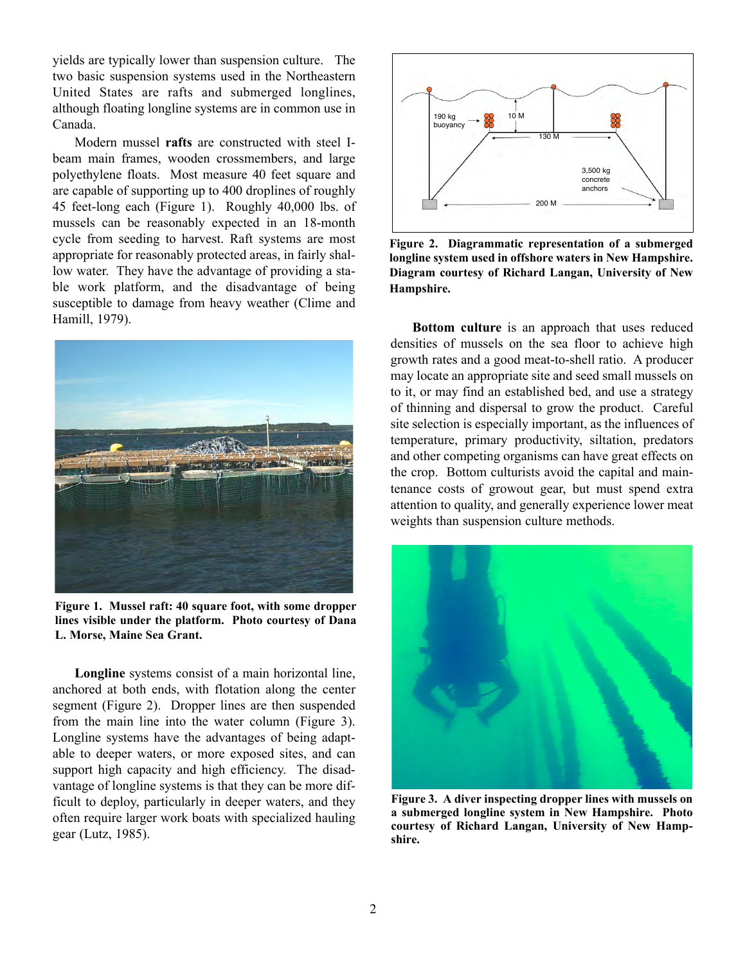yields are typically lower than suspension culture. The two basic suspension systems used in the Northeastern United States are rafts and submerged longlines, although floating longline systems are in common use in Canada.

Modern mussel **rafts** are constructed with steel Ibeam main frames, wooden crossmembers, and large polyethylene floats. Most measure 40 feet square and are capable of supporting up to 400 droplines of roughly 45 feet-long each (Figure 1). Roughly 40,000 lbs. of mussels can be reasonably expected in an 18-month cycle from seeding to harvest. Raft systems are most appropriate for reasonably protected areas, in fairly shallow water. They have the advantage of providing a stable work platform, and the disadvantage of being susceptible to damage from heavy weather (Clime and Hamill, 1979).



**Figure 1. Mussel raft: 40 square foot, with some dropper lines visible under the platform. Photo courtesy of Dana L. Morse, Maine Sea Grant.**

**Longline** systems consist of a main horizontal line, anchored at both ends, with flotation along the center segment (Figure 2). Dropper lines are then suspended from the main line into the water column (Figure 3). Longline systems have the advantages of being adaptable to deeper waters, or more exposed sites, and can support high capacity and high efficiency. The disadvantage of longline systems is that they can be more difficult to deploy, particularly in deeper waters, and they often require larger work boats with specialized hauling gear (Lutz, 1985).



**Figure 2. Diagrammatic representation of a submerged longline system used in offshore waters in New Hampshire. Diagram courtesy of Richard Langan, University of New Hampshire.**

**Bottom culture** is an approach that uses reduced densities of mussels on the sea floor to achieve high growth rates and a good meat-to-shell ratio. A producer may locate an appropriate site and seed small mussels on to it, or may find an established bed, and use a strategy of thinning and dispersal to grow the product. Careful site selection is especially important, as the influences of temperature, primary productivity, siltation, predators and other competing organisms can have great effects on the crop. Bottom culturists avoid the capital and maintenance costs of growout gear, but must spend extra attention to quality, and generally experience lower meat weights than suspension culture methods.



**Figure 3. A diver inspecting dropper lines with mussels on a submerged longline system in New Hampshire. Photo courtesy of Richard Langan, University of New Hampshire.**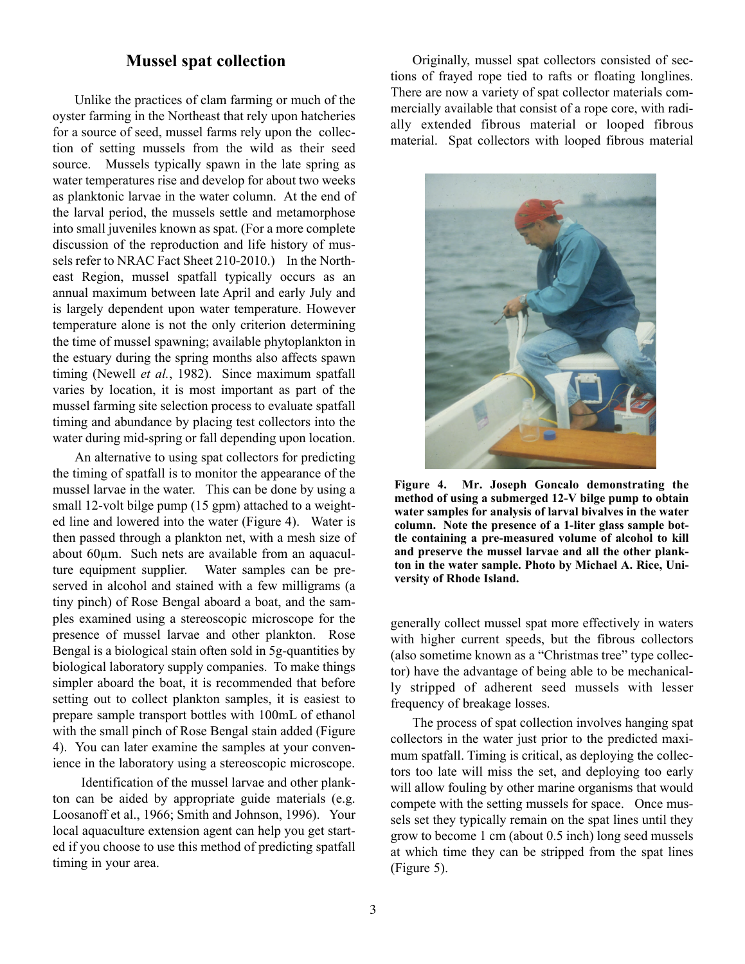## **Mussel spat collection**

Unlike the practices of clam farming or much of the oyster farming in the Northeast that rely upon hatcheries for a source of seed, mussel farms rely upon the collection of setting mussels from the wild as their seed source. Mussels typically spawn in the late spring as water temperatures rise and develop for about two weeks as planktonic larvae in the water column. At the end of the larval period, the mussels settle and metamorphose into small juveniles known as spat. (For a more complete discussion of the reproduction and life history of mussels refer to NRAC Fact Sheet 210-2010.) In the Northeast Region, mussel spatfall typically occurs as an annual maximum between late April and early July and is largely dependent upon water temperature. However temperature alone is not the only criterion determining the time of mussel spawning; available phytoplankton in the estuary during the spring months also affects spawn timing (Newell *et al.*, 1982). Since maximum spatfall varies by location, it is most important as part of the mussel farming site selection process to evaluate spatfall timing and abundance by placing test collectors into the water during mid-spring or fall depending upon location.

An alternative to using spat collectors for predicting the timing of spatfall is to monitor the appearance of the mussel larvae in the water. This can be done by using a small 12-volt bilge pump (15 gpm) attached to a weighted line and lowered into the water (Figure 4). Water is then passed through a plankton net, with a mesh size of about 60µm. Such nets are available from an aquaculture equipment supplier. Water samples can be preserved in alcohol and stained with a few milligrams (a tiny pinch) of Rose Bengal aboard a boat, and the samples examined using a stereoscopic microscope for the presence of mussel larvae and other plankton. Rose Bengal is a biological stain often sold in 5g-quantities by biological laboratory supply companies. To make things simpler aboard the boat, it is recommended that before setting out to collect plankton samples, it is easiest to prepare sample transport bottles with 100mL of ethanol with the small pinch of Rose Bengal stain added (Figure 4). You can later examine the samples at your convenience in the laboratory using a stereoscopic microscope.

Identification of the mussel larvae and other plankton can be aided by appropriate guide materials (e.g. Loosanoff et al., 1966; Smith and Johnson, 1996). Your local aquaculture extension agent can help you get started if you choose to use this method of predicting spatfall timing in your area.

Originally, mussel spat collectors consisted of sections of frayed rope tied to rafts or floating longlines. There are now a variety of spat collector materials commercially available that consist of a rope core, with radially extended fibrous material or looped fibrous material. Spat collectors with looped fibrous material



**Figure 4. Mr. Joseph Goncalo demonstrating the method of using a submerged 12-V bilge pump to obtain water samples for analysis of larval bivalves in the water column. Note the presence of a 1-liter glass sample bottle containing a pre-measured volume of alcohol to kill and preserve the mussel larvae and all the other plankton in the water sample. Photo by Michael A. Rice, University of Rhode Island.**

generally collect mussel spat more effectively in waters with higher current speeds, but the fibrous collectors (also sometime known as a "Christmas tree" type collector) have the advantage of being able to be mechanically stripped of adherent seed mussels with lesser frequency of breakage losses.

The process of spat collection involves hanging spat collectors in the water just prior to the predicted maximum spatfall. Timing is critical, as deploying the collectors too late will miss the set, and deploying too early will allow fouling by other marine organisms that would compete with the setting mussels for space. Once mussels set they typically remain on the spat lines until they grow to become 1 cm (about 0.5 inch) long seed mussels at which time they can be stripped from the spat lines (Figure 5).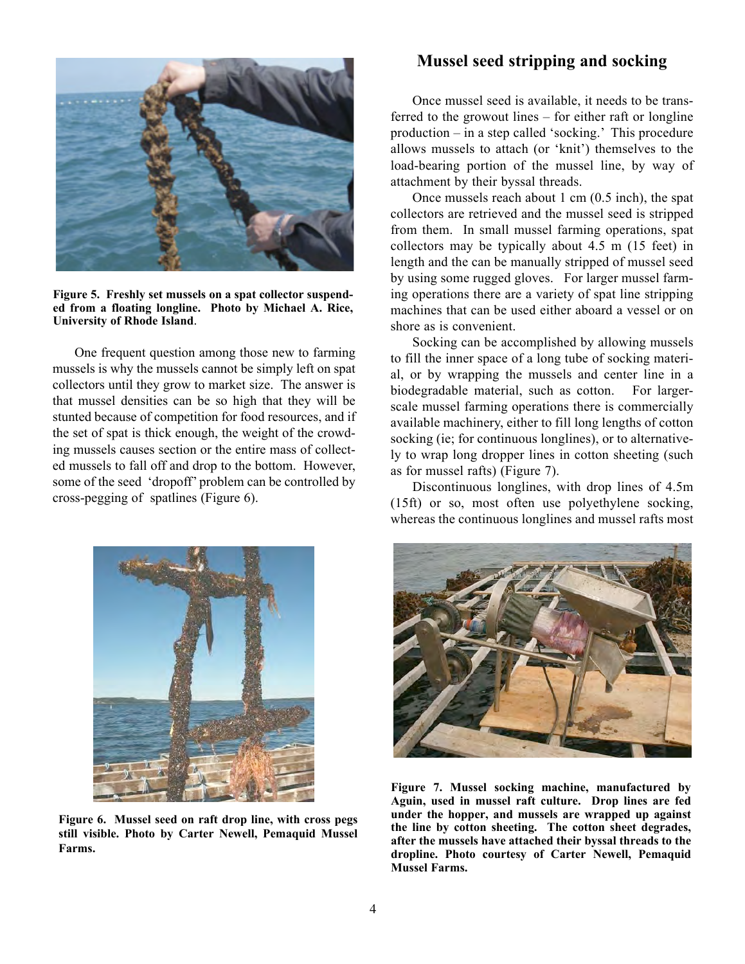

**Figure 5. Freshly set mussels on a spat collector suspended from a floating longline. Photo by Michael A. Rice, University of Rhode Island**.

One frequent question among those new to farming mussels is why the mussels cannot be simply left on spat collectors until they grow to market size. The answer is that mussel densities can be so high that they will be stunted because of competition for food resources, and if the set of spat is thick enough, the weight of the crowding mussels causes section or the entire mass of collected mussels to fall off and drop to the bottom. However, some of the seed 'dropoff' problem can be controlled by cross-pegging of spatlines (Figure 6).

### **Mussel seed stripping and socking**

Once mussel seed is available, it needs to be transferred to the growout lines – for either raft or longline production – in a step called 'socking.' This procedure allows mussels to attach (or 'knit') themselves to the load-bearing portion of the mussel line, by way of attachment by their byssal threads.

Once mussels reach about 1 cm (0.5 inch), the spat collectors are retrieved and the mussel seed is stripped from them. In small mussel farming operations, spat collectors may be typically about 4.5 m (15 feet) in length and the can be manually stripped of mussel seed by using some rugged gloves. For larger mussel farming operations there are a variety of spat line stripping machines that can be used either aboard a vessel or on shore as is convenient.

Socking can be accomplished by allowing mussels to fill the inner space of a long tube of socking material, or by wrapping the mussels and center line in a biodegradable material, such as cotton. For largerscale mussel farming operations there is commercially available machinery, either to fill long lengths of cotton socking (ie; for continuous longlines), or to alternatively to wrap long dropper lines in cotton sheeting (such as for mussel rafts) (Figure 7).

Discontinuous longlines, with drop lines of 4.5m (15ft) or so, most often use polyethylene socking, whereas the continuous longlines and mussel rafts most



**Figure 6. Mussel seed on raft drop line, with cross pegs still visible. Photo by Carter Newell, Pemaquid Mussel Farms.** 



**Figure 7. Mussel socking machine, manufactured by Aguin, used in mussel raft culture. Drop lines are fed under the hopper, and mussels are wrapped up against the line by cotton sheeting. The cotton sheet degrades, after the mussels have attached their byssal threads to the dropline. Photo courtesy of Carter Newell, Pemaquid Mussel Farms.**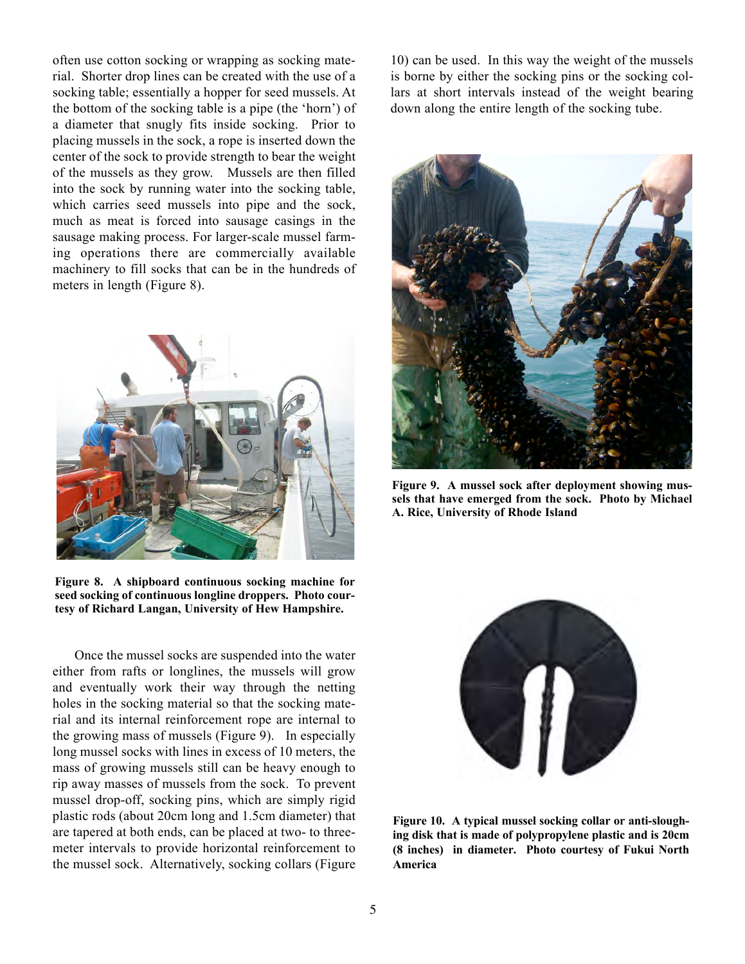often use cotton socking or wrapping as socking material. Shorter drop lines can be created with the use of a socking table; essentially a hopper for seed mussels. At the bottom of the socking table is a pipe (the 'horn') of a diameter that snugly fits inside socking. Prior to placing mussels in the sock, a rope is inserted down the center of the sock to provide strength to bear the weight of the mussels as they grow. Mussels are then filled into the sock by running water into the socking table, which carries seed mussels into pipe and the sock, much as meat is forced into sausage casings in the sausage making process. For larger-scale mussel farming operations there are commercially available machinery to fill socks that can be in the hundreds of meters in length (Figure 8).



**Figure 8. A shipboard continuous socking machine for seed socking of continuous longline droppers. Photo courtesy of Richard Langan, University of Hew Hampshire.**

Once the mussel socks are suspended into the water either from rafts or longlines, the mussels will grow and eventually work their way through the netting holes in the socking material so that the socking material and its internal reinforcement rope are internal to the growing mass of mussels (Figure 9). In especially long mussel socks with lines in excess of 10 meters, the mass of growing mussels still can be heavy enough to rip away masses of mussels from the sock. To prevent mussel drop-off, socking pins, which are simply rigid plastic rods (about 20cm long and 1.5cm diameter) that are tapered at both ends, can be placed at two- to threemeter intervals to provide horizontal reinforcement to the mussel sock. Alternatively, socking collars (Figure

10) can be used. In this way the weight of the mussels is borne by either the socking pins or the socking collars at short intervals instead of the weight bearing down along the entire length of the socking tube.



**Figure 9. A mussel sock after deployment showing mussels that have emerged from the sock. Photo by Michael A. Rice, University of Rhode Island** 



**Figure 10. A typical mussel socking collar or anti-sloughing disk that is made of polypropylene plastic and is 20cm (8 inches) in diameter. Photo courtesy of Fukui North America**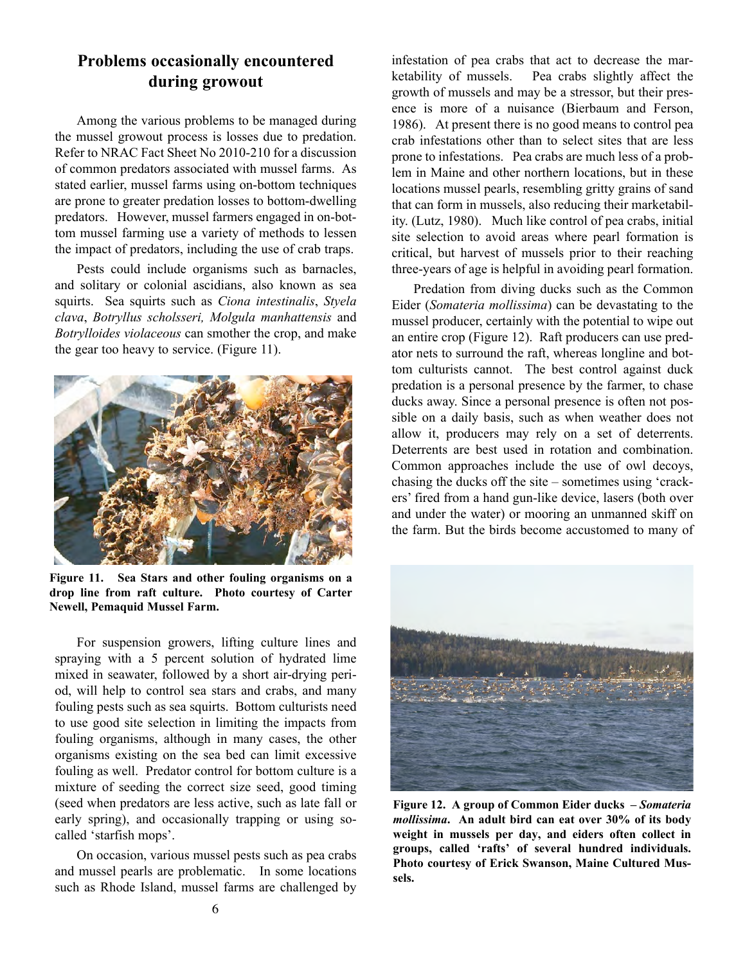# **Problems occasionally encountered during growout**

Among the various problems to be managed during the mussel growout process is losses due to predation. Refer to NRAC Fact Sheet No 2010-210 for a discussion of common predators associated with mussel farms. As stated earlier, mussel farms using on-bottom techniques are prone to greater predation losses to bottom-dwelling predators. However, mussel farmers engaged in on-bottom mussel farming use a variety of methods to lessen the impact of predators, including the use of crab traps.

Pests could include organisms such as barnacles, and solitary or colonial ascidians, also known as sea squirts. Sea squirts such as *Ciona intestinalis*, *Styela clava*, *Botryllus scholsseri, Molgula manhattensis* and *Botrylloides violaceous* can smother the crop, and make the gear too heavy to service. (Figure 11).



**Figure 11. Sea Stars and other fouling organisms on a drop line from raft culture. Photo courtesy of Carter Newell, Pemaquid Mussel Farm.**

For suspension growers, lifting culture lines and spraying with a 5 percent solution of hydrated lime mixed in seawater, followed by a short air-drying period, will help to control sea stars and crabs, and many fouling pests such as sea squirts. Bottom culturists need to use good site selection in limiting the impacts from fouling organisms, although in many cases, the other organisms existing on the sea bed can limit excessive fouling as well. Predator control for bottom culture is a mixture of seeding the correct size seed, good timing (seed when predators are less active, such as late fall or early spring), and occasionally trapping or using socalled 'starfish mops'.

On occasion, various mussel pests such as pea crabs and mussel pearls are problematic. In some locations such as Rhode Island, mussel farms are challenged by

infestation of pea crabs that act to decrease the marketability of mussels. Pea crabs slightly affect the growth of mussels and may be a stressor, but their presence is more of a nuisance (Bierbaum and Ferson, 1986). At present there is no good means to control pea crab infestations other than to select sites that are less prone to infestations. Pea crabs are much less of a problem in Maine and other northern locations, but in these locations mussel pearls, resembling gritty grains of sand that can form in mussels, also reducing their marketability. (Lutz, 1980). Much like control of pea crabs, initial site selection to avoid areas where pearl formation is critical, but harvest of mussels prior to their reaching three-years of age is helpful in avoiding pearl formation.

Predation from diving ducks such as the Common Eider (*Somateria mollissima*) can be devastating to the mussel producer, certainly with the potential to wipe out an entire crop (Figure 12). Raft producers can use predator nets to surround the raft, whereas longline and bottom culturists cannot. The best control against duck predation is a personal presence by the farmer, to chase ducks away. Since a personal presence is often not possible on a daily basis, such as when weather does not allow it, producers may rely on a set of deterrents. Deterrents are best used in rotation and combination. Common approaches include the use of owl decoys, chasing the ducks off the site – sometimes using 'crackers' fired from a hand gun-like device, lasers (both over and under the water) or mooring an unmanned skiff on the farm. But the birds become accustomed to many of



**Figure 12. A group of Common Eider ducks –** *Somateria mollissima***. An adult bird can eat over 30% of its body weight in mussels per day, and eiders often collect in groups, called 'rafts' of several hundred individuals. Photo courtesy of Erick Swanson, Maine Cultured Mussels.**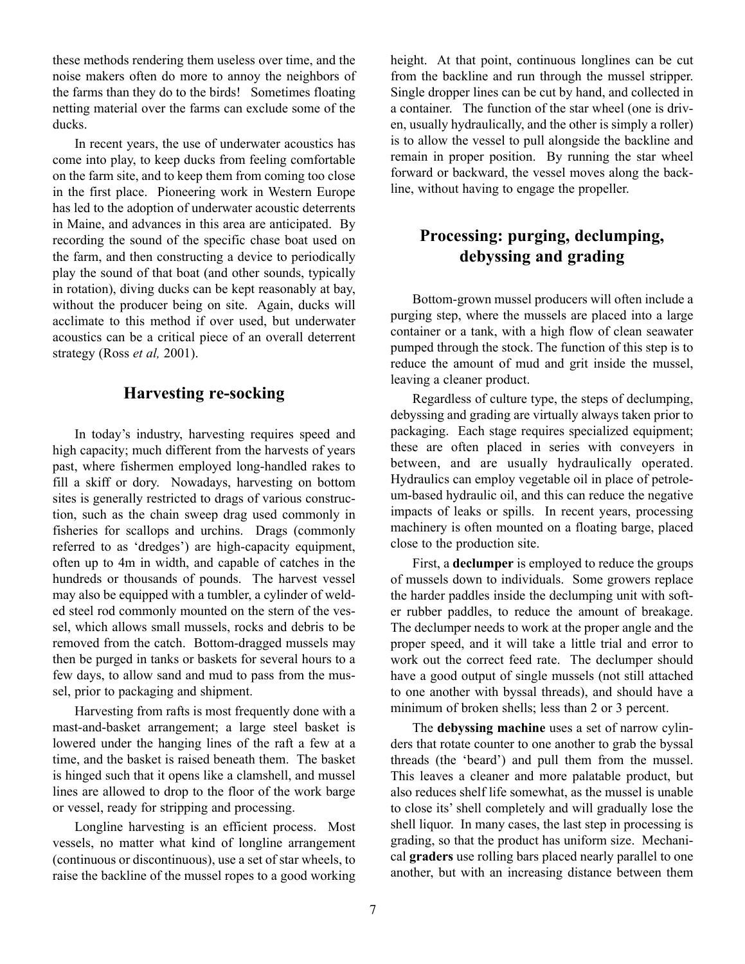these methods rendering them useless over time, and the noise makers often do more to annoy the neighbors of the farms than they do to the birds! Sometimes floating netting material over the farms can exclude some of the ducks.

In recent years, the use of underwater acoustics has come into play, to keep ducks from feeling comfortable on the farm site, and to keep them from coming too close in the first place. Pioneering work in Western Europe has led to the adoption of underwater acoustic deterrents in Maine, and advances in this area are anticipated. By recording the sound of the specific chase boat used on the farm, and then constructing a device to periodically play the sound of that boat (and other sounds, typically in rotation), diving ducks can be kept reasonably at bay, without the producer being on site. Again, ducks will acclimate to this method if over used, but underwater acoustics can be a critical piece of an overall deterrent strategy (Ross *et al,* 2001).

# **Harvesting re-socking**

In today's industry, harvesting requires speed and high capacity; much different from the harvests of years past, where fishermen employed long-handled rakes to fill a skiff or dory. Nowadays, harvesting on bottom sites is generally restricted to drags of various construction, such as the chain sweep drag used commonly in fisheries for scallops and urchins. Drags (commonly referred to as 'dredges') are high-capacity equipment, often up to 4m in width, and capable of catches in the hundreds or thousands of pounds. The harvest vessel may also be equipped with a tumbler, a cylinder of welded steel rod commonly mounted on the stern of the vessel, which allows small mussels, rocks and debris to be removed from the catch. Bottom-dragged mussels may then be purged in tanks or baskets for several hours to a few days, to allow sand and mud to pass from the mussel, prior to packaging and shipment.

Harvesting from rafts is most frequently done with a mast-and-basket arrangement; a large steel basket is lowered under the hanging lines of the raft a few at a time, and the basket is raised beneath them. The basket is hinged such that it opens like a clamshell, and mussel lines are allowed to drop to the floor of the work barge or vessel, ready for stripping and processing.

Longline harvesting is an efficient process. Most vessels, no matter what kind of longline arrangement (continuous or discontinuous), use a set of star wheels, to raise the backline of the mussel ropes to a good working height. At that point, continuous longlines can be cut from the backline and run through the mussel stripper. Single dropper lines can be cut by hand, and collected in a container. The function of the star wheel (one is driven, usually hydraulically, and the other is simply a roller) is to allow the vessel to pull alongside the backline and remain in proper position. By running the star wheel forward or backward, the vessel moves along the backline, without having to engage the propeller.

# **Processing: purging, declumping, debyssing and grading**

Bottom-grown mussel producers will often include a purging step, where the mussels are placed into a large container or a tank, with a high flow of clean seawater pumped through the stock. The function of this step is to reduce the amount of mud and grit inside the mussel, leaving a cleaner product.

Regardless of culture type, the steps of declumping, debyssing and grading are virtually always taken prior to packaging. Each stage requires specialized equipment; these are often placed in series with conveyers in between, and are usually hydraulically operated. Hydraulics can employ vegetable oil in place of petroleum-based hydraulic oil, and this can reduce the negative impacts of leaks or spills. In recent years, processing machinery is often mounted on a floating barge, placed close to the production site.

First, a **declumper** is employed to reduce the groups of mussels down to individuals. Some growers replace the harder paddles inside the declumping unit with softer rubber paddles, to reduce the amount of breakage. The declumper needs to work at the proper angle and the proper speed, and it will take a little trial and error to work out the correct feed rate. The declumper should have a good output of single mussels (not still attached to one another with byssal threads), and should have a minimum of broken shells; less than 2 or 3 percent.

The **debyssing machine** uses a set of narrow cylinders that rotate counter to one another to grab the byssal threads (the 'beard') and pull them from the mussel. This leaves a cleaner and more palatable product, but also reduces shelf life somewhat, as the mussel is unable to close its' shell completely and will gradually lose the shell liquor. In many cases, the last step in processing is grading, so that the product has uniform size. Mechanical **graders** use rolling bars placed nearly parallel to one another, but with an increasing distance between them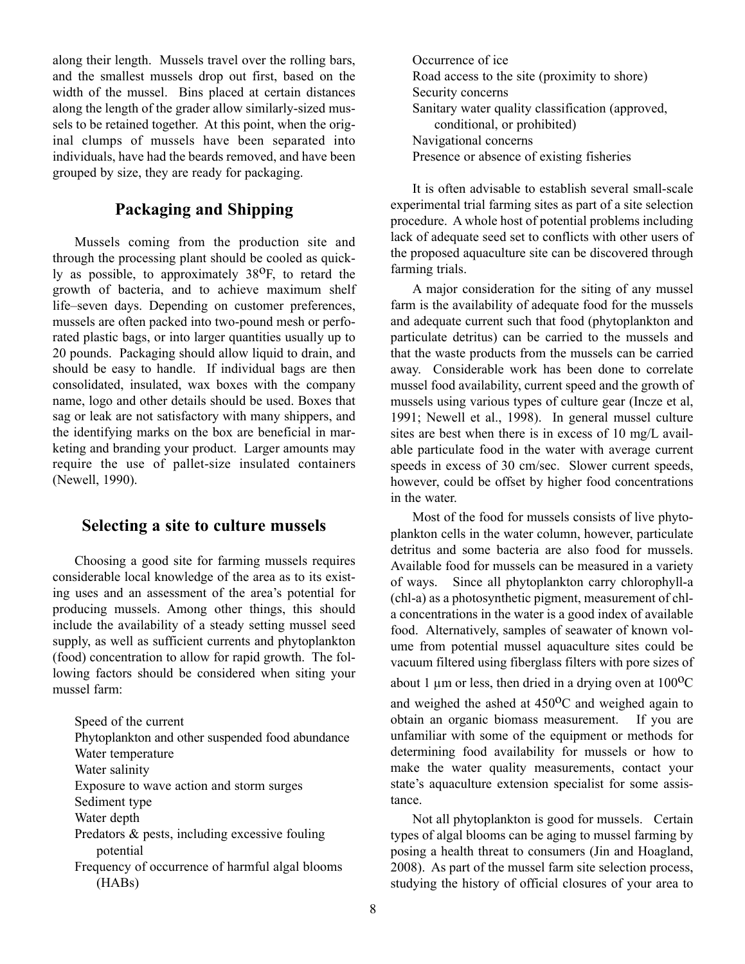along their length. Mussels travel over the rolling bars, and the smallest mussels drop out first, based on the width of the mussel. Bins placed at certain distances along the length of the grader allow similarly-sized mussels to be retained together. At this point, when the original clumps of mussels have been separated into individuals, have had the beards removed, and have been grouped by size, they are ready for packaging.

## **Packaging and Shipping**

Mussels coming from the production site and through the processing plant should be cooled as quickly as possible, to approximately  $38^{\circ}$ F, to retard the growth of bacteria, and to achieve maximum shelf life–seven days. Depending on customer preferences, mussels are often packed into two-pound mesh or perforated plastic bags, or into larger quantities usually up to 20 pounds. Packaging should allow liquid to drain, and should be easy to handle. If individual bags are then consolidated, insulated, wax boxes with the company name, logo and other details should be used. Boxes that sag or leak are not satisfactory with many shippers, and the identifying marks on the box are beneficial in marketing and branding your product. Larger amounts may require the use of pallet-size insulated containers (Newell, 1990).

#### **Selecting a site to culture mussels**

Choosing a good site for farming mussels requires considerable local knowledge of the area as to its existing uses and an assessment of the area's potential for producing mussels. Among other things, this should include the availability of a steady setting mussel seed supply, as well as sufficient currents and phytoplankton (food) concentration to allow for rapid growth. The following factors should be considered when siting your mussel farm:

Speed of the current Phytoplankton and other suspended food abundance Water temperature Water salinity Exposure to wave action and storm surges Sediment type Water depth Predators & pests, including excessive fouling potential Frequency of occurrence of harmful algal blooms (HABs)

Occurrence of ice Road access to the site (proximity to shore) Security concerns Sanitary water quality classification (approved, conditional, or prohibited) Navigational concerns Presence or absence of existing fisheries

It is often advisable to establish several small-scale experimental trial farming sites as part of a site selection procedure. A whole host of potential problems including lack of adequate seed set to conflicts with other users of the proposed aquaculture site can be discovered through farming trials.

A major consideration for the siting of any mussel farm is the availability of adequate food for the mussels and adequate current such that food (phytoplankton and particulate detritus) can be carried to the mussels and that the waste products from the mussels can be carried away. Considerable work has been done to correlate mussel food availability, current speed and the growth of mussels using various types of culture gear (Incze et al, 1991; Newell et al., 1998). In general mussel culture sites are best when there is in excess of 10 mg/L available particulate food in the water with average current speeds in excess of 30 cm/sec. Slower current speeds, however, could be offset by higher food concentrations in the water.

Most of the food for mussels consists of live phytoplankton cells in the water column, however, particulate detritus and some bacteria are also food for mussels. Available food for mussels can be measured in a variety of ways. Since all phytoplankton carry chlorophyll-a (chl-a) as a photosynthetic pigment, measurement of chla concentrations in the water is a good index of available food. Alternatively, samples of seawater of known volume from potential mussel aquaculture sites could be vacuum filtered using fiberglass filters with pore sizes of about 1  $\mu$ m or less, then dried in a drying oven at 100<sup>o</sup>C and weighed the ashed at  $450^{\circ}$ C and weighed again to obtain an organic biomass measurement. If you are unfamiliar with some of the equipment or methods for determining food availability for mussels or how to make the water quality measurements, contact your state's aquaculture extension specialist for some assistance.

Not all phytoplankton is good for mussels. Certain types of algal blooms can be aging to mussel farming by posing a health threat to consumers (Jin and Hoagland, 2008). As part of the mussel farm site selection process, studying the history of official closures of your area to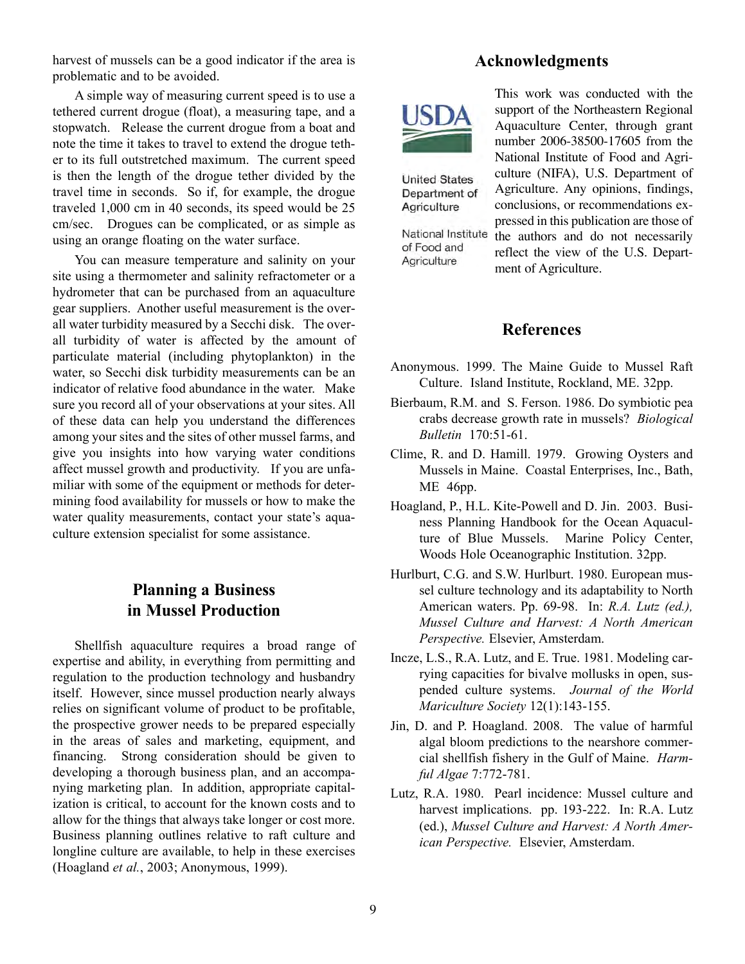harvest of mussels can be a good indicator if the area is problematic and to be avoided.

A simple way of measuring current speed is to use a tethered current drogue (float), a measuring tape, and a stopwatch. Release the current drogue from a boat and note the time it takes to travel to extend the drogue tether to its full outstretched maximum. The current speed is then the length of the drogue tether divided by the travel time in seconds. So if, for example, the drogue traveled 1,000 cm in 40 seconds, its speed would be 25 cm/sec. Drogues can be complicated, or as simple as using an orange floating on the water surface.

You can measure temperature and salinity on your site using a thermometer and salinity refractometer or a hydrometer that can be purchased from an aquaculture gear suppliers. Another useful measurement is the overall water turbidity measured by a Secchi disk. The overall turbidity of water is affected by the amount of particulate material (including phytoplankton) in the water, so Secchi disk turbidity measurements can be an indicator of relative food abundance in the water. Make sure you record all of your observations at your sites. All of these data can help you understand the differences among your sites and the sites of other mussel farms, and give you insights into how varying water conditions affect mussel growth and productivity. If you are unfamiliar with some of the equipment or methods for determining food availability for mussels or how to make the water quality measurements, contact your state's aquaculture extension specialist for some assistance.

# **Planning a Business in Mussel Production**

Shellfish aquaculture requires a broad range of expertise and ability, in everything from permitting and regulation to the production technology and husbandry itself. However, since mussel production nearly always relies on significant volume of product to be profitable, the prospective grower needs to be prepared especially in the areas of sales and marketing, equipment, and financing. Strong consideration should be given to developing a thorough business plan, and an accompanying marketing plan. In addition, appropriate capitalization is critical, to account for the known costs and to allow for the things that always take longer or cost more. Business planning outlines relative to raft culture and longline culture are available, to help in these exercises (Hoagland *et al.*, 2003; Anonymous, 1999).

# **Acknowledgments**



**United States** Department of Agriculture

National Institute of Food and Agriculture

This work was conducted with the support of the Northeastern Regional Aquaculture Center, through grant number 2006-38500-17605 from the National Institute of Food and Agriculture (NIFA), U.S. Department of Agriculture. Any opinions, findings, conclusions, or recommendations expressed in this publication are those of

the authors and do not necessarily reflect the view of the U.S. Department of Agriculture.

## **References**

- Anonymous. 1999. The Maine Guide to Mussel Raft Culture. Island Institute, Rockland, ME. 32pp.
- Bierbaum, R.M. and S. Ferson. 1986. Do symbiotic pea crabs decrease growth rate in mussels? *Biological Bulletin* 170:51-61.
- Clime, R. and D. Hamill. 1979. Growing Oysters and Mussels in Maine. Coastal Enterprises, Inc., Bath, ME 46pp.
- Hoagland, P., H.L. Kite-Powell and D. Jin. 2003. Business Planning Handbook for the Ocean Aquaculture of Blue Mussels. Marine Policy Center, Woods Hole Oceanographic Institution. 32pp.
- Hurlburt, C.G. and S.W. Hurlburt. 1980. European mussel culture technology and its adaptability to North American waters. Pp. 69-98. In: *R.A. Lutz (ed.), Mussel Culture and Harvest: A North American Perspective.* Elsevier, Amsterdam.
- Incze, L.S., R.A. Lutz, and E. True. 1981. Modeling carrying capacities for bivalve mollusks in open, suspended culture systems. *Journal of the World Mariculture Society* 12(1):143-155.
- Jin, D. and P. Hoagland. 2008. The value of harmful algal bloom predictions to the nearshore commercial shellfish fishery in the Gulf of Maine. *Harmful Algae* 7:772-781.
- Lutz, R.A. 1980. Pearl incidence: Mussel culture and harvest implications. pp. 193-222. In: R.A. Lutz (ed.), *Mussel Culture and Harvest: A North American Perspective.* Elsevier, Amsterdam.